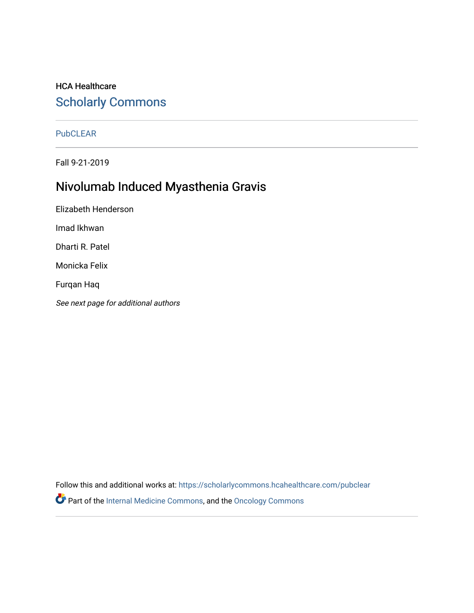## HCA Healthcare [Scholarly Commons](https://scholarlycommons.hcahealthcare.com/)

## [PubCLEAR](https://scholarlycommons.hcahealthcare.com/pubclear)

Fall 9-21-2019

# Nivolumab Induced Myasthenia Gravis

Elizabeth Henderson Imad Ikhwan Dharti R. Patel Monicka Felix Furqan Haq See next page for additional authors

Follow this and additional works at: [https://scholarlycommons.hcahealthcare.com/pubclear](https://scholarlycommons.hcahealthcare.com/pubclear?utm_source=scholarlycommons.hcahealthcare.com%2Fpubclear%2F1&utm_medium=PDF&utm_campaign=PDFCoverPages)  Part of the [Internal Medicine Commons](http://network.bepress.com/hgg/discipline/1356?utm_source=scholarlycommons.hcahealthcare.com%2Fpubclear%2F1&utm_medium=PDF&utm_campaign=PDFCoverPages), and the [Oncology Commons](http://network.bepress.com/hgg/discipline/694?utm_source=scholarlycommons.hcahealthcare.com%2Fpubclear%2F1&utm_medium=PDF&utm_campaign=PDFCoverPages)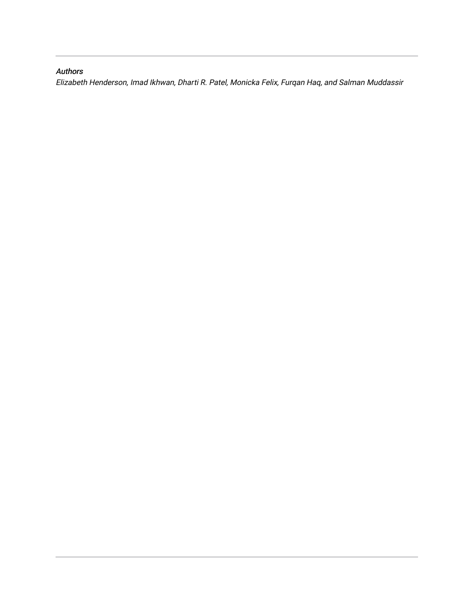## Authors

Elizabeth Henderson, Imad Ikhwan, Dharti R. Patel, Monicka Felix, Furqan Haq, and Salman Muddassir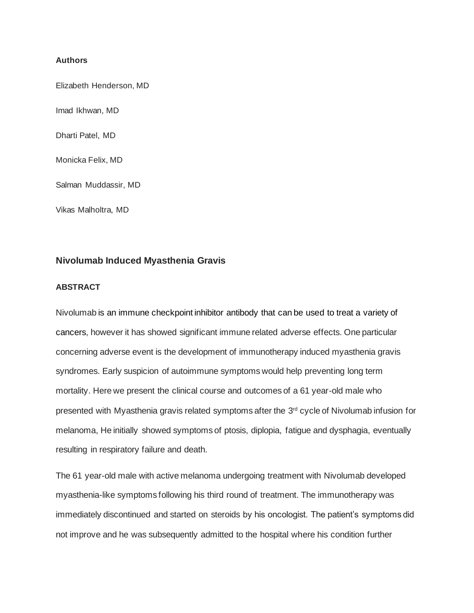#### **Authors**

Elizabeth Henderson, MD

Imad Ikhwan, MD

Dharti Patel, MD

Monicka Felix, MD

Salman Muddassir, MD

Vikas Malholtra, MD

### **Nivolumab Induced Myasthenia Gravis**

#### **ABSTRACT**

Nivolumab is an immune checkpoint inhibitor antibody that can be used to treat a variety of cancers, however it has showed significant immune related adverse effects. One particular concerning adverse event is the development of immunotherapy induced myasthenia gravis syndromes. Early suspicion of autoimmune symptoms would help preventing long term mortality. Here we present the clinical course and outcomes of a 61 year-old male who presented with Myasthenia gravis related symptoms after the 3<sup>rd</sup> cycle of Nivolumab infusion for melanoma, He initially showed symptoms of ptosis, diplopia, fatigue and dysphagia, eventually resulting in respiratory failure and death.

The 61 year-old male with active melanoma undergoing treatment with Nivolumab developed myasthenia-like symptoms following his third round of treatment. The immunotherapy was immediately discontinued and started on steroids by his oncologist. The patient's symptoms did not improve and he was subsequently admitted to the hospital where his condition further